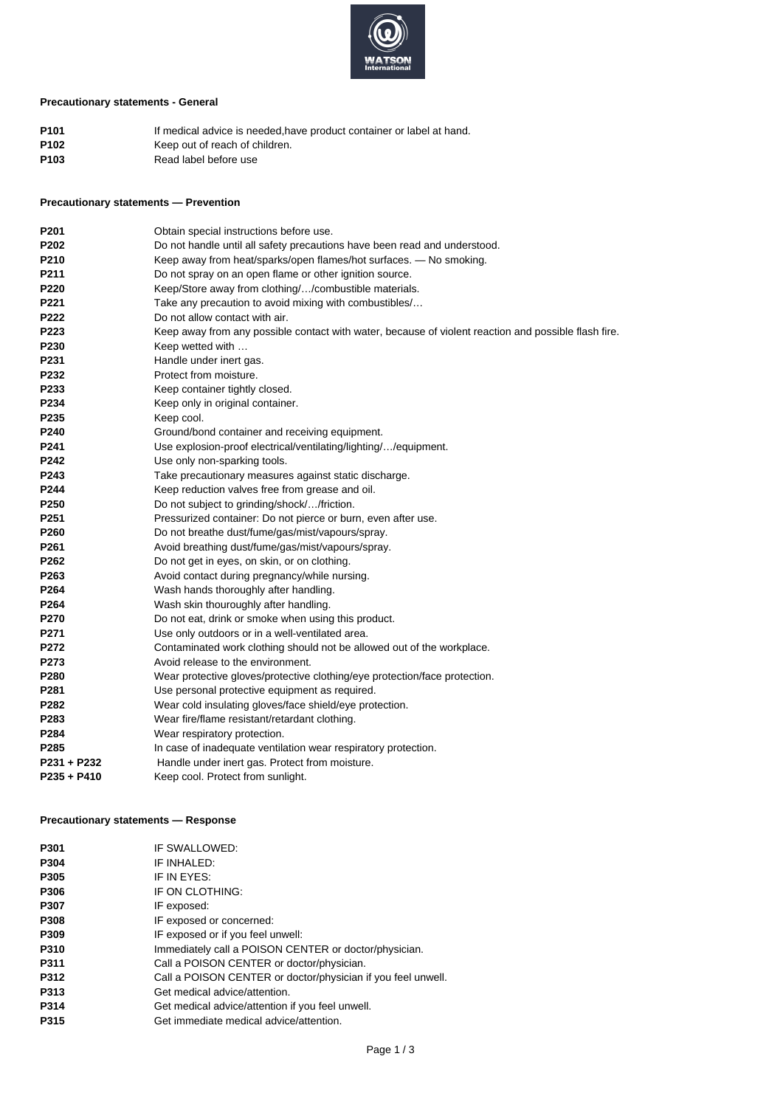

# **Precautionary statements - General**

| P <sub>101</sub> | If medical advice is needed, have product container or label at hand. |
|------------------|-----------------------------------------------------------------------|
| P102             | Keep out of reach of children.                                        |
| P103             | Read label before use                                                 |

## **Precautionary statements — Prevention**

| P <sub>201</sub> | Obtain special instructions before use.                                                              |
|------------------|------------------------------------------------------------------------------------------------------|
| P <sub>202</sub> | Do not handle until all safety precautions have been read and understood.                            |
| P210             | Keep away from heat/sparks/open flames/hot surfaces. — No smoking.                                   |
| P211             | Do not spray on an open flame or other ignition source.                                              |
| P220             | Keep/Store away from clothing//combustible materials.                                                |
| P221             | Take any precaution to avoid mixing with combustibles/                                               |
| P222             | Do not allow contact with air.                                                                       |
| P223             | Keep away from any possible contact with water, because of violent reaction and possible flash fire. |
| P230             | Keep wetted with                                                                                     |
| P231             | Handle under inert gas.                                                                              |
| P232             | Protect from moisture.                                                                               |
| P233             | Keep container tightly closed.                                                                       |
| P234             | Keep only in original container.                                                                     |
| P235             | Keep cool.                                                                                           |
| P240             | Ground/bond container and receiving equipment.                                                       |
| P <sub>241</sub> | Use explosion-proof electrical/ventilating/lighting//equipment.                                      |
| P242             | Use only non-sparking tools.                                                                         |
| P243             | Take precautionary measures against static discharge.                                                |
| P244             | Keep reduction valves free from grease and oil.                                                      |
| P250             | Do not subject to grinding/shock//friction.                                                          |
| P <sub>251</sub> | Pressurized container: Do not pierce or burn, even after use.                                        |
| P260             | Do not breathe dust/fume/gas/mist/vapours/spray.                                                     |
| P261             | Avoid breathing dust/fume/gas/mist/vapours/spray.                                                    |
| P262             | Do not get in eyes, on skin, or on clothing.                                                         |
| P263             | Avoid contact during pregnancy/while nursing.                                                        |
| P264             | Wash hands thoroughly after handling.                                                                |
| P264             | Wash skin thouroughly after handling.                                                                |
| P270             | Do not eat, drink or smoke when using this product.                                                  |
| P271             | Use only outdoors or in a well-ventilated area.                                                      |
| P272             | Contaminated work clothing should not be allowed out of the workplace.                               |
| P273             | Avoid release to the environment.                                                                    |
| P280             | Wear protective gloves/protective clothing/eye protection/face protection.                           |
| P281             | Use personal protective equipment as required.                                                       |
| P282             | Wear cold insulating gloves/face shield/eye protection.                                              |
| P283             | Wear fire/flame resistant/retardant clothing.                                                        |
| P284             | Wear respiratory protection.                                                                         |
| P <sub>285</sub> | In case of inadequate ventilation wear respiratory protection.                                       |
| P231 + P232      | Handle under inert gas. Protect from moisture.                                                       |
| $P235 + P410$    | Keep cool. Protect from sunlight.                                                                    |
|                  |                                                                                                      |

## **Precautionary statements — Response**

| P301        | IF SWALLOWED:                                                |
|-------------|--------------------------------------------------------------|
| P304        | IF INHALED:                                                  |
| P305        | IF IN EYES:                                                  |
| P306        | IF ON CLOTHING:                                              |
| P307        | IF exposed:                                                  |
| P308        | IF exposed or concerned:                                     |
| P309        | IF exposed or if you feel unwell:                            |
| P310        | Immediately call a POISON CENTER or doctor/physician.        |
| P311        | Call a POISON CENTER or doctor/physician.                    |
| <b>P312</b> | Call a POISON CENTER or doctor/physician if you feel unwell. |
| P313        | Get medical advice/attention.                                |
| P314        | Get medical advice/attention if you feel unwell.             |
| P315        | Get immediate medical advice/attention.                      |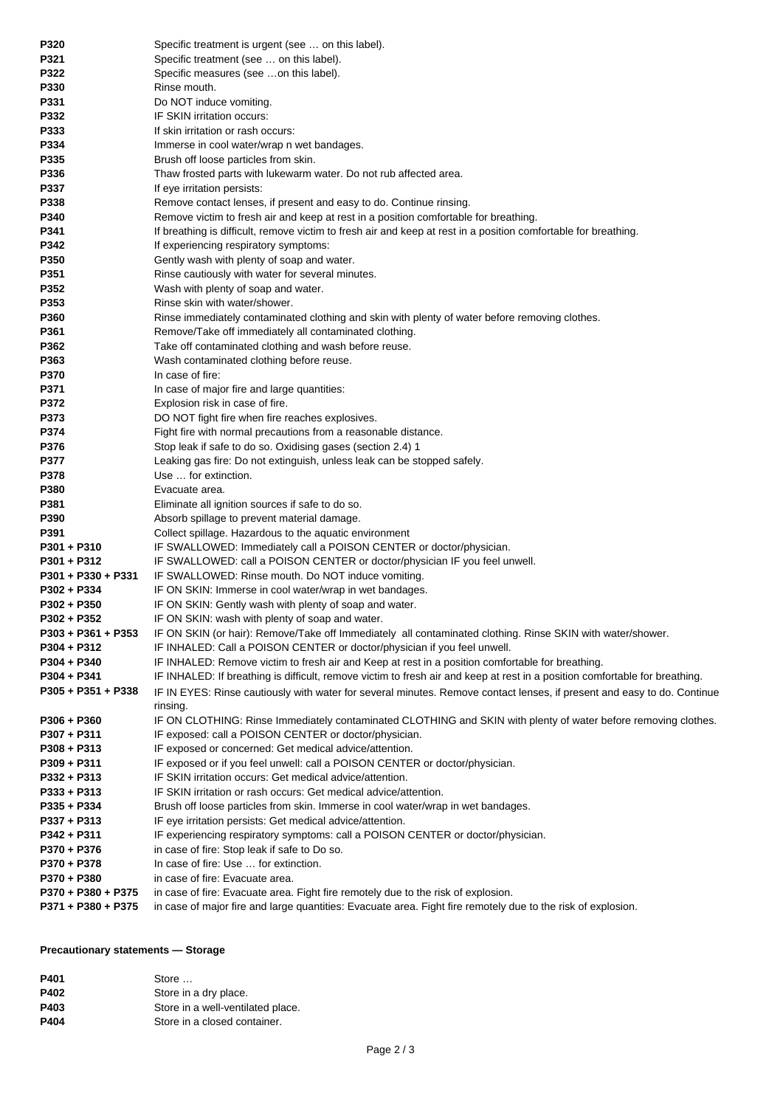| P320               | Specific treatment is urgent (see  on this label).                                                                          |
|--------------------|-----------------------------------------------------------------------------------------------------------------------------|
| P321               | Specific treatment (see  on this label).                                                                                    |
| P322               | Specific measures (see on this label).                                                                                      |
| P330               | Rinse mouth.                                                                                                                |
| P331               | Do NOT induce vomiting.                                                                                                     |
| P332               | IF SKIN irritation occurs:                                                                                                  |
| P333               | If skin irritation or rash occurs:                                                                                          |
| P334               | Immerse in cool water/wrap n wet bandages.                                                                                  |
| P335               | Brush off loose particles from skin.                                                                                        |
| P336               | Thaw frosted parts with lukewarm water. Do not rub affected area.                                                           |
| P337               | If eye irritation persists:                                                                                                 |
| P338               | Remove contact lenses, if present and easy to do. Continue rinsing.                                                         |
| P340               | Remove victim to fresh air and keep at rest in a position comfortable for breathing.                                        |
| P341               | If breathing is difficult, remove victim to fresh air and keep at rest in a position comfortable for breathing.             |
| P342               | If experiencing respiratory symptoms:                                                                                       |
| P350               | Gently wash with plenty of soap and water.                                                                                  |
| P351               | Rinse cautiously with water for several minutes.                                                                            |
| P352               | Wash with plenty of soap and water.                                                                                         |
| P353               | Rinse skin with water/shower.                                                                                               |
| P360               | Rinse immediately contaminated clothing and skin with plenty of water before removing clothes.                              |
| P361               | Remove/Take off immediately all contaminated clothing.                                                                      |
| P362               | Take off contaminated clothing and wash before reuse.                                                                       |
| P363               | Wash contaminated clothing before reuse.                                                                                    |
| P370               | In case of fire:                                                                                                            |
| P371               | In case of major fire and large quantities:                                                                                 |
| P372               | Explosion risk in case of fire.                                                                                             |
| P373               | DO NOT fight fire when fire reaches explosives.                                                                             |
| P374               | Fight fire with normal precautions from a reasonable distance.                                                              |
| P376               | Stop leak if safe to do so. Oxidising gases (section 2.4) 1                                                                 |
| P377               | Leaking gas fire: Do not extinguish, unless leak can be stopped safely.                                                     |
| P378               | Use  for extinction.                                                                                                        |
| P380               | Evacuate area.                                                                                                              |
| P381               | Eliminate all ignition sources if safe to do so.                                                                            |
| P390               | Absorb spillage to prevent material damage.                                                                                 |
| P391               | Collect spillage. Hazardous to the aquatic environment                                                                      |
| P301 + P310        | IF SWALLOWED: Immediately call a POISON CENTER or doctor/physician.                                                         |
| P301 + P312        | IF SWALLOWED: call a POISON CENTER or doctor/physician IF you feel unwell.                                                  |
| P301 + P330 + P331 | IF SWALLOWED: Rinse mouth. Do NOT induce vomiting.                                                                          |
| P302 + P334        | IF ON SKIN: Immerse in cool water/wrap in wet bandages.                                                                     |
| P302 + P350        | IF ON SKIN: Gently wash with plenty of soap and water.                                                                      |
| P302 + P352        | IF ON SKIN: wash with plenty of soap and water.                                                                             |
| P303 + P361 + P353 | IF ON SKIN (or hair): Remove/Take off Immediately all contaminated clothing. Rinse SKIN with water/shower.                  |
| P304 + P312        | IF INHALED: Call a POISON CENTER or doctor/physician if you feel unwell.                                                    |
| P304 + P340        | IF INHALED: Remove victim to fresh air and Keep at rest in a position comfortable for breathing.                            |
| P304 + P341        | IF INHALED: If breathing is difficult, remove victim to fresh air and keep at rest in a position comfortable for breathing. |
| P305 + P351 + P338 | IF IN EYES: Rinse cautiously with water for several minutes. Remove contact lenses, if present and easy to do. Continue     |
|                    | rinsing.                                                                                                                    |
| P306 + P360        | IF ON CLOTHING: Rinse Immediately contaminated CLOTHING and SKIN with plenty of water before removing clothes.              |
| P307 + P311        | IF exposed: call a POISON CENTER or doctor/physician.                                                                       |
| P308 + P313        | IF exposed or concerned: Get medical advice/attention.                                                                      |
| P309 + P311        | IF exposed or if you feel unwell: call a POISON CENTER or doctor/physician.                                                 |
| P332 + P313        | IF SKIN irritation occurs: Get medical advice/attention.                                                                    |
| P333 + P313        | IF SKIN irritation or rash occurs: Get medical advice/attention.                                                            |
| P335 + P334        | Brush off loose particles from skin. Immerse in cool water/wrap in wet bandages.                                            |
| P337 + P313        | IF eye irritation persists: Get medical advice/attention.                                                                   |
| P342 + P311        | IF experiencing respiratory symptoms: call a POISON CENTER or doctor/physician.                                             |
| P370 + P376        | in case of fire: Stop leak if safe to Do so.                                                                                |
| P370 + P378        | In case of fire: Use  for extinction.                                                                                       |
| P370 + P380        | in case of fire: Evacuate area.                                                                                             |
| P370 + P380 + P375 | in case of fire: Evacuate area. Fight fire remotely due to the risk of explosion.                                           |
| P371 + P380 + P375 | in case of major fire and large quantities: Evacuate area. Fight fire remotely due to the risk of explosion.                |

## **Precautionary statements — Storage**

| P401 | Store                             |
|------|-----------------------------------|
| P402 | Store in a dry place.             |
| P403 | Store in a well-ventilated place. |
| P404 | Store in a closed container.      |